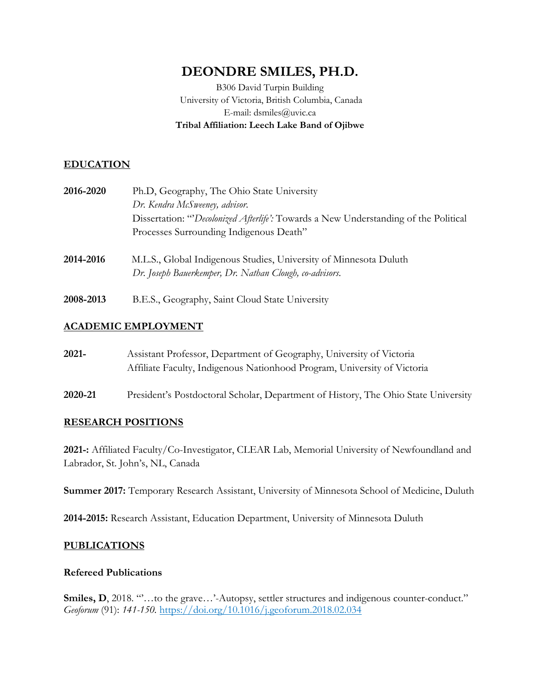# **DEONDRE SMILES, PH.D.**

B306 David Turpin Building University of Victoria, British Columbia, Canada E-mail: dsmiles@uvic.ca **Tribal Affiliation: Leech Lake Band of Ojibwe**

## **EDUCATION**

- **2016-2020** Ph.D, Geography, The Ohio State University *Dr. Kendra McSweeney, advisor*. Dissertation: "'*Decolonized Afterlife':* Towards a New Understanding of the Political Processes Surrounding Indigenous Death"
- **2014-2016** M.L.S., Global Indigenous Studies, University of Minnesota Duluth *Dr. Joseph Bauerkemper, Dr. Nathan Clough, co-advisors*.
- **2008-2013** B.E.S., Geography, Saint Cloud State University

## **ACADEMIC EMPLOYMENT**

- **2021-** Assistant Professor, Department of Geography, University of Victoria Affiliate Faculty, Indigenous Nationhood Program, University of Victoria
- **2020-21** President's Postdoctoral Scholar, Department of History, The Ohio State University

## **RESEARCH POSITIONS**

**2021-:** Affiliated Faculty/Co-Investigator, CLEAR Lab, Memorial University of Newfoundland and Labrador, St. John's, NL, Canada

**Summer 2017:** Temporary Research Assistant, University of Minnesota School of Medicine, Duluth

**2014-2015:** Research Assistant, Education Department, University of Minnesota Duluth

## **PUBLICATIONS**

## **Refereed Publications**

**Smiles, D**, 2018. ""...to the grave...'-Autopsy, settler structures and indigenous counter-conduct." *Geoforum* (91): *141-150.* https://doi.org/10.1016/j.geoforum.2018.02.034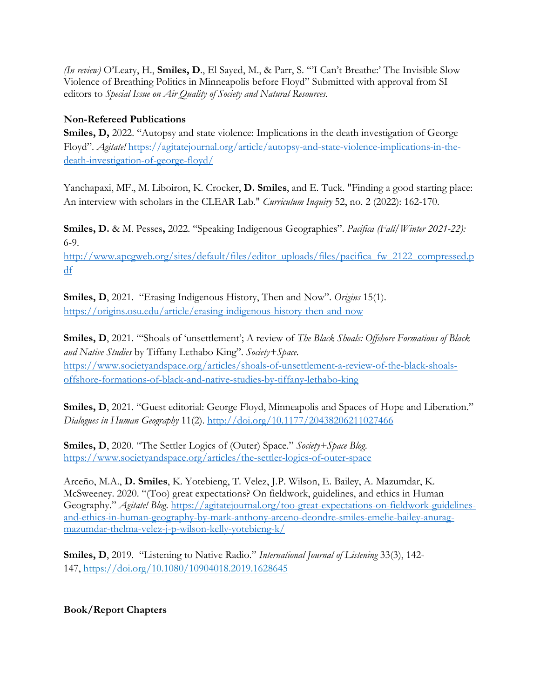*(In review)* O'Leary, H., **Smiles, D**., El Sayed, M., & Parr, S. "'I Can't Breathe:' The Invisible Slow Violence of Breathing Politics in Minneapolis before Floyd" Submitted with approval from SI editors to *Special Issue on Air Quality of Society and Natural Resources.* 

## **Non-Refereed Publications**

Smiles, D, 2022. "Autopsy and state violence: Implications in the death investigation of George Floyd". *Agitate!* https://agitatejournal.org/article/autopsy-and-state-violence-implications-in-thedeath-investigation-of-george-floyd/

Yanchapaxi, MF., M. Liboiron, K. Crocker, **D. Smiles**, and E. Tuck. "Finding a good starting place: An interview with scholars in the CLEAR Lab." *Curriculum Inquiry* 52, no. 2 (2022): 162-170.

**Smiles, D.** & M. Pesses**,** 2022. "Speaking Indigenous Geographies". *Pacifica (Fall/Winter 2021-22):*  6-9.

http://www.apcgweb.org/sites/default/files/editor\_uploads/files/pacifica\_fw\_2122\_compressed.p df

**Smiles, D**, 2021. "Erasing Indigenous History, Then and Now". *Origins* 15(1). https://origins.osu.edu/article/erasing-indigenous-history-then-and-now

**Smiles, D**, 2021. "'Shoals of 'unsettlement'; A review of *The Black Shoals: Offshore Formations of Black and Native Studies* by Tiffany Lethabo King". *Society+Space.* https://www.societyandspace.org/articles/shoals-of-unsettlement-a-review-of-the-black-shoalsoffshore-formations-of-black-and-native-studies-by-tiffany-lethabo-king

Smiles, D, 2021. "Guest editorial: George Floyd, Minneapolis and Spaces of Hope and Liberation." *Dialogues in Human Geography* 11(2). http://doi.org/10.1177/20438206211027466

**Smiles, D**, 2020. "The Settler Logics of (Outer) Space." *Society+Space Blog*. https://www.societyandspace.org/articles/the-settler-logics-of-outer-space

Arceño, M.A., **D. Smiles**, K. Yotebieng, T. Velez, J.P. Wilson, E. Bailey, A. Mazumdar, K. McSweeney. 2020. "(Too) great expectations? On fieldwork, guidelines, and ethics in Human Geography." *Agitate! Blog*. https://agitatejournal.org/too-great-expectations-on-fieldwork-guidelinesand-ethics-in-human-geography-by-mark-anthony-arceno-deondre-smiles-emelie-bailey-anuragmazumdar-thelma-velez-j-p-wilson-kelly-yotebieng-k/

**Smiles, D**, 2019. "Listening to Native Radio." *International Journal of Listening* 33(3), 142- 147, https://doi.org/10.1080/10904018.2019.1628645

**Book/Report Chapters**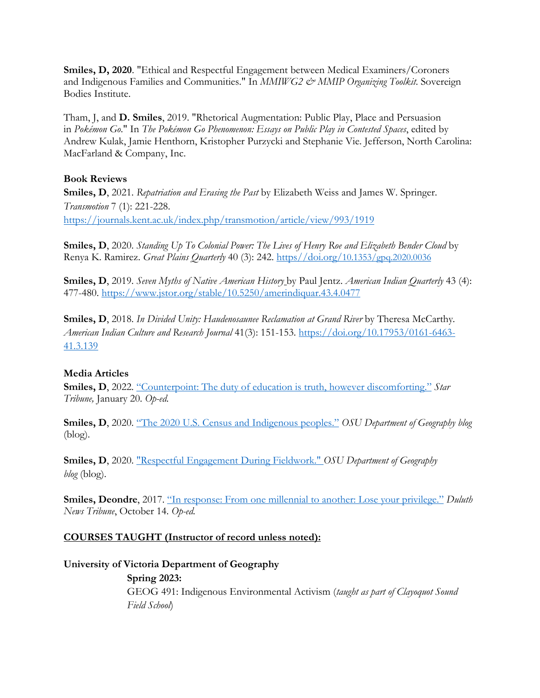**Smiles, D, 2020**. "Ethical and Respectful Engagement between Medical Examiners/Coroners and Indigenous Families and Communities." In *MMIWG2 & MMIP Organizing Toolkit*. Sovereign Bodies Institute.

Tham, J, and **D. Smiles**, 2019. "Rhetorical Augmentation: Public Play, Place and Persuasion in *Pokémon Go*." In *The Pokémon Go Phenomenon: Essays on Public Play in Contested Spaces*, edited by Andrew Kulak, Jamie Henthorn, Kristopher Purzycki and Stephanie Vie. Jefferson, North Carolina: MacFarland & Company, Inc.

#### **Book Reviews**

**Smiles, D**, 2021. *Repatriation and Erasing the Past* by Elizabeth Weiss and James W. Springer. *Transmotion* 7 (1): 221-228. https://journals.kent.ac.uk/index.php/transmotion/article/view/993/1919

**Smiles, D**, 2020. *Standing Up To Colonial Power: The Lives of Henry Roe and Elizabeth Bender Cloud* by Renya K. Ramirez. *Great Plains Quarterly* 40 (3): 242. https//doi.org/10.1353/gpq.2020.0036

**Smiles, D**, 2019. *Seven Myths of Native American History* by Paul Jentz. *American Indian Quarterly* 43 (4): 477-480. https://www.jstor.org/stable/10.5250/amerindiquar.43.4.0477

**Smiles, D**, 2018. *In Divided Unity: Haudenosaunee Reclamation at Grand River* by Theresa McCarthy*. American Indian Culture and Research Journal* 41(3): 151-153. https://doi.org/10.17953/0161-6463- 41.3.139

## **Media Articles**

**Smiles, D**, 2022. "Counterpoint: The duty of education is truth, however discomforting." *Star Tribune,* January 20. *Op-ed.*

**Smiles, D**, 2020. "The 2020 U.S. Census and Indigenous peoples." *OSU Department of Geography blog*  (blog).

**Smiles, D**, 2020. "Respectful Engagement During Fieldwork." *OSU Department of Geography blog* (blog).

**Smiles, Deondre**, 2017. "In response: From one millennial to another: Lose your privilege." *Duluth News Tribune*, October 14. *Op-ed.*

## **COURSES TAUGHT (Instructor of record unless noted):**

## **University of Victoria Department of Geography**

**Spring 2023:** GEOG 491: Indigenous Environmental Activism (*taught as part of Clayoquot Sound Field School*)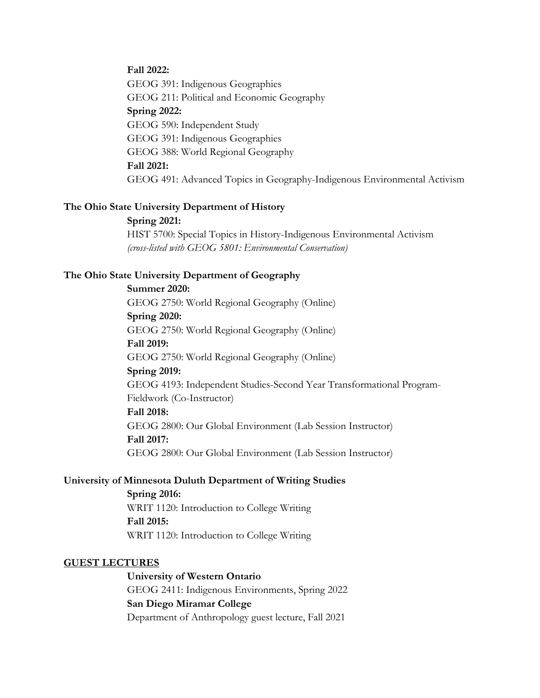#### **Fall 2022:**

GEOG 391: Indigenous Geographies GEOG 211: Political and Economic Geography **Spring 2022:** GEOG 590: Independent Study GEOG 391: Indigenous Geographies GEOG 388: World Regional Geography **Fall 2021:** GEOG 491: Advanced Topics in Geography-Indigenous Environmental Activism

#### **The Ohio State University Department of History**

#### **Spring 2021:**

HIST 5700: Special Topics in History-Indigenous Environmental Activism *(cross-listed with GEOG 5801: Environmental Conservation)*

#### **The Ohio State University Department of Geography**

**Summer 2020:**

GEOG 2750: World Regional Geography (Online) **Spring 2020:** GEOG 2750: World Regional Geography (Online) **Fall 2019:** GEOG 2750: World Regional Geography (Online) **Spring 2019:** GEOG 4193: Independent Studies-Second Year Transformational Program-Fieldwork (Co-Instructor) **Fall 2018:** GEOG 2800: Our Global Environment (Lab Session Instructor) **Fall 2017:**

GEOG 2800: Our Global Environment (Lab Session Instructor)

#### **University of Minnesota Duluth Department of Writing Studies**

**Spring 2016:** WRIT 1120: Introduction to College Writing **Fall 2015:** WRIT 1120: Introduction to College Writing

#### **GUEST LECTURES**

**University of Western Ontario** GEOG 2411: Indigenous Environments, Spring 2022 **San Diego Miramar College** Department of Anthropology guest lecture, Fall 2021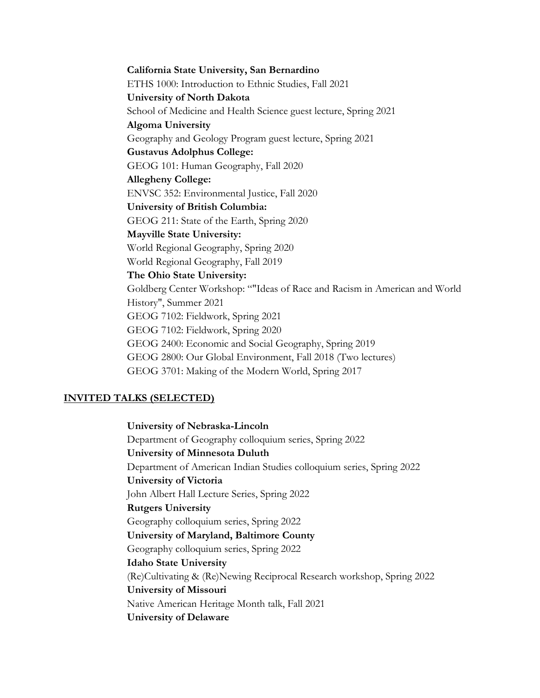**California State University, San Bernardino** ETHS 1000: Introduction to Ethnic Studies, Fall 2021 **University of North Dakota** School of Medicine and Health Science guest lecture, Spring 2021 **Algoma University** Geography and Geology Program guest lecture, Spring 2021 **Gustavus Adolphus College:** GEOG 101: Human Geography, Fall 2020 **Allegheny College:** ENVSC 352: Environmental Justice, Fall 2020 **University of British Columbia:** GEOG 211: State of the Earth, Spring 2020 **Mayville State University:** World Regional Geography, Spring 2020 World Regional Geography, Fall 2019 **The Ohio State University:** Goldberg Center Workshop: ""Ideas of Race and Racism in American and World History", Summer 2021 GEOG 7102: Fieldwork, Spring 2021 GEOG 7102: Fieldwork, Spring 2020 GEOG 2400: Economic and Social Geography, Spring 2019 GEOG 2800: Our Global Environment, Fall 2018 (Two lectures) GEOG 3701: Making of the Modern World, Spring 2017

#### **INVITED TALKS (SELECTED)**

**University of Nebraska-Lincoln** Department of Geography colloquium series, Spring 2022 **University of Minnesota Duluth** Department of American Indian Studies colloquium series, Spring 2022 **University of Victoria** John Albert Hall Lecture Series, Spring 2022 **Rutgers University** Geography colloquium series, Spring 2022 **University of Maryland, Baltimore County** Geography colloquium series, Spring 2022 **Idaho State University** (Re)Cultivating & (Re)Newing Reciprocal Research workshop, Spring 2022 **University of Missouri** Native American Heritage Month talk, Fall 2021 **University of Delaware**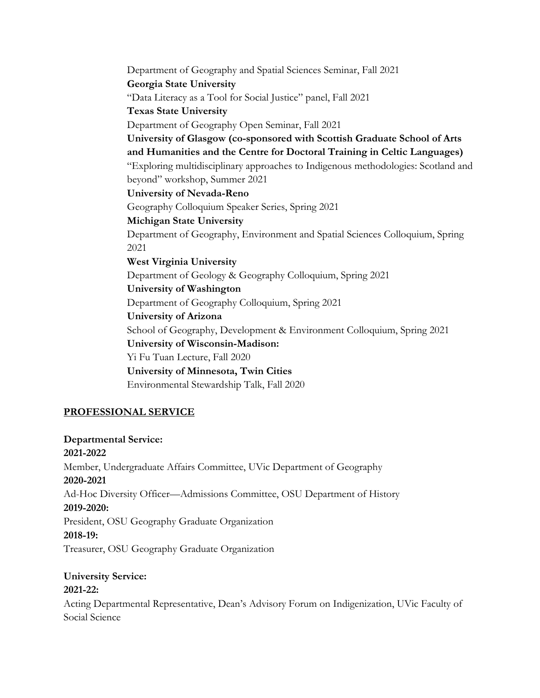Department of Geography and Spatial Sciences Seminar, Fall 2021 **Georgia State University** "Data Literacy as a Tool for Social Justice" panel, Fall 2021 **Texas State University** Department of Geography Open Seminar, Fall 2021 **University of Glasgow (co-sponsored with Scottish Graduate School of Arts and Humanities and the Centre for Doctoral Training in Celtic Languages)** "Exploring multidisciplinary approaches to Indigenous methodologies: Scotland and beyond" workshop, Summer 2021 **University of Nevada-Reno** Geography Colloquium Speaker Series, Spring 2021 **Michigan State University** Department of Geography, Environment and Spatial Sciences Colloquium, Spring 2021 **West Virginia University** Department of Geology & Geography Colloquium, Spring 2021 **University of Washington** Department of Geography Colloquium, Spring 2021 **University of Arizona** School of Geography, Development & Environment Colloquium, Spring 2021 **University of Wisconsin-Madison:** Yi Fu Tuan Lecture, Fall 2020 **University of Minnesota, Twin Cities** Environmental Stewardship Talk, Fall 2020

## **PROFESSIONAL SERVICE**

**Departmental Service: 2021-2022** Member, Undergraduate Affairs Committee, UVic Department of Geography **2020-2021** Ad-Hoc Diversity Officer—Admissions Committee, OSU Department of History **2019-2020:** President, OSU Geography Graduate Organization **2018-19:**  Treasurer, OSU Geography Graduate Organization

#### **University Service: 2021-22:**

Acting Departmental Representative, Dean's Advisory Forum on Indigenization, UVic Faculty of Social Science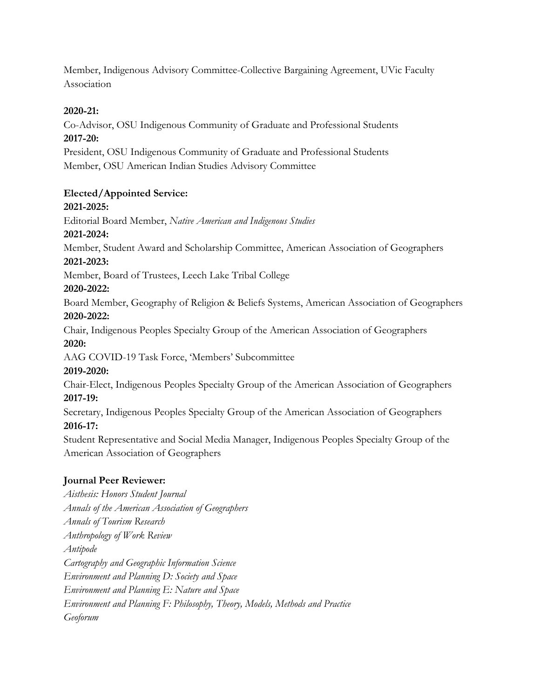Member, Indigenous Advisory Committee-Collective Bargaining Agreement, UVic Faculty Association

## **2020-21:**

Co-Advisor, OSU Indigenous Community of Graduate and Professional Students **2017-20:** 

President, OSU Indigenous Community of Graduate and Professional Students Member, OSU American Indian Studies Advisory Committee

## **Elected/Appointed Service:**

## **2021-2025:**

Editorial Board Member, *Native American and Indigenous Studies* **2021-2024:**

Member, Student Award and Scholarship Committee, American Association of Geographers **2021-2023:**

Member, Board of Trustees, Leech Lake Tribal College

## **2020-2022:**

Board Member, Geography of Religion & Beliefs Systems, American Association of Geographers **2020-2022:**

Chair, Indigenous Peoples Specialty Group of the American Association of Geographers **2020:**

AAG COVID-19 Task Force, 'Members' Subcommittee

# **2019-2020:**

Chair-Elect, Indigenous Peoples Specialty Group of the American Association of Geographers **2017-19:**

Secretary, Indigenous Peoples Specialty Group of the American Association of Geographers **2016-17:**

Student Representative and Social Media Manager, Indigenous Peoples Specialty Group of the American Association of Geographers

## **Journal Peer Reviewer:**

*Aisthesis: Honors Student Journal Annals of the American Association of Geographers Annals of Tourism Research Anthropology of Work Review Antipode Cartography and Geographic Information Science Environment and Planning D: Society and Space Environment and Planning E: Nature and Space Environment and Planning F: Philosophy, Theory, Models, Methods and Practice Geoforum*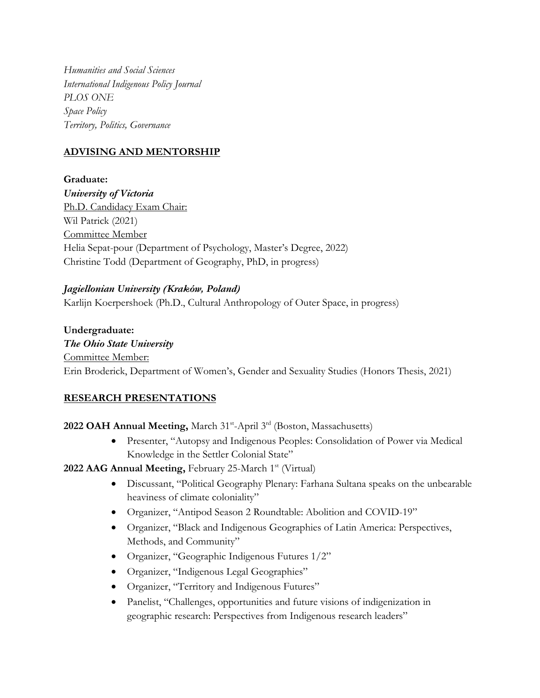*Humanities and Social Sciences International Indigenous Policy Journal PLOS ONE Space Policy Territory, Politics, Governance*

## **ADVISING AND MENTORSHIP**

**Graduate:** *University of Victoria* Ph.D. Candidacy Exam Chair: Wil Patrick (2021) Committee Member Helia Sepat-pour (Department of Psychology, Master's Degree, 2022) Christine Todd (Department of Geography, PhD, in progress)

#### *Jagiellonian University (Kraków, Poland)*

Karlijn Koerpershoek (Ph.D., Cultural Anthropology of Outer Space, in progress)

**Undergraduate:** *The Ohio State University* Committee Member: Erin Broderick, Department of Women's, Gender and Sexuality Studies (Honors Thesis, 2021)

## **RESEARCH PRESENTATIONS**

2022 OAH Annual Meeting, March 31<sup>st</sup>-April 3<sup>rd</sup> (Boston, Massachusetts)

• Presenter, "Autopsy and Indigenous Peoples: Consolidation of Power via Medical Knowledge in the Settler Colonial State"

2022 AAG Annual Meeting, February 25-March 1<sup>st</sup> (Virtual)

- Discussant, "Political Geography Plenary: Farhana Sultana speaks on the unbearable heaviness of climate coloniality"
- Organizer, "Antipod Season 2 Roundtable: Abolition and COVID-19"
- Organizer, "Black and Indigenous Geographies of Latin America: Perspectives, Methods, and Community"
- Organizer, "Geographic Indigenous Futures 1/2"
- Organizer, "Indigenous Legal Geographies"
- Organizer, "Territory and Indigenous Futures"
- Panelist, "Challenges, opportunities and future visions of indigenization in geographic research: Perspectives from Indigenous research leaders"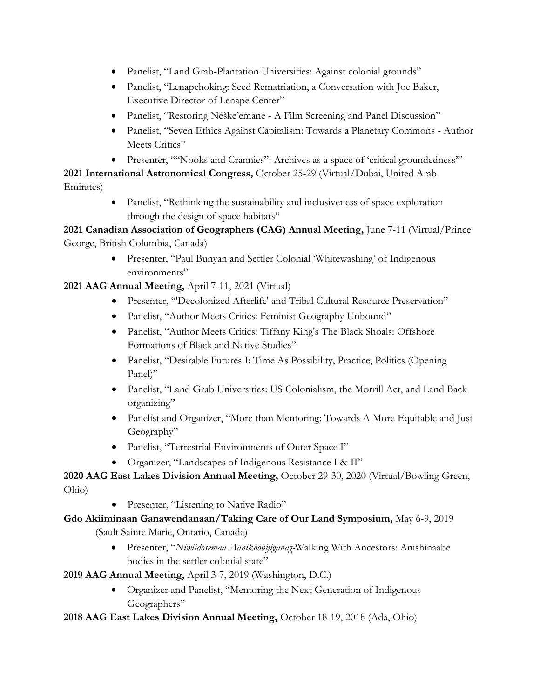- Panelist, "Land Grab-Plantation Universities: Against colonial grounds"
- Panelist, "Lenapehoking: Seed Rematriation, a Conversation with Joe Baker, Executive Director of Lenape Center"
- Panelist, "Restoring Néške'emāne A Film Screening and Panel Discussion"
- Panelist, "Seven Ethics Against Capitalism: Towards a Planetary Commons Author Meets Critics"
- Presenter, ""Nooks and Crannies": Archives as a space of 'critical groundedness'"

**2021 International Astronomical Congress,** October 25-29 (Virtual/Dubai, United Arab

Emirates)

Panelist, "Rethinking the sustainability and inclusiveness of space exploration through the design of space habitats"

# **2021 Canadian Association of Geographers (CAG) Annual Meeting,** June 7-11 (Virtual/Prince George, British Columbia, Canada)

• Presenter, "Paul Bunyan and Settler Colonial 'Whitewashing' of Indigenous environments"

## **2021 AAG Annual Meeting,** April 7-11, 2021 (Virtual)

- Presenter, "'Decolonized Afterlife' and Tribal Cultural Resource Preservation"
- Panelist, "Author Meets Critics: Feminist Geography Unbound"
- Panelist, "Author Meets Critics: Tiffany King's The Black Shoals: Offshore Formations of Black and Native Studies"
- Panelist, "Desirable Futures I: Time As Possibility, Practice, Politics (Opening Panel)"
- Panelist, "Land Grab Universities: US Colonialism, the Morrill Act, and Land Back organizing"
- Panelist and Organizer, "More than Mentoring: Towards A More Equitable and Just Geography"
- Panelist, "Terrestrial Environments of Outer Space I"
- Organizer, "Landscapes of Indigenous Resistance I & II"

# **2020 AAG East Lakes Division Annual Meeting,** October 29-30, 2020 (Virtual/Bowling Green, Ohio)

• Presenter, "Listening to Native Radio"

# **Gdo Akiiminaan Ganawendanaan/Taking Care of Our Land Symposium,** May 6-9, 2019 (Sault Sainte Marie, Ontario, Canada)

- Presenter, "*Niwiidosemaa Aanikoobijiganag-*Walking With Ancestors: Anishinaabe bodies in the settler colonial state"
- **2019 AAG Annual Meeting,** April 3-7, 2019 (Washington, D.C.)
	- Organizer and Panelist, "Mentoring the Next Generation of Indigenous Geographers"

**2018 AAG East Lakes Division Annual Meeting,** October 18-19, 2018 (Ada, Ohio)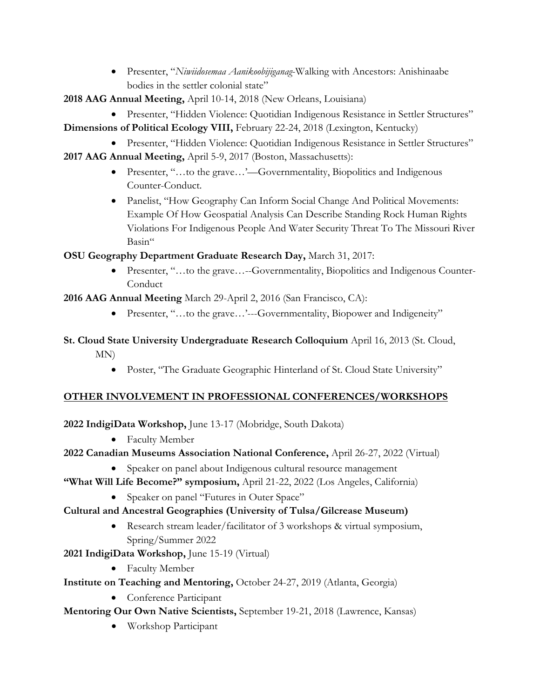- Presenter, "*Niwiidosemaa Aanikoobijiganag*-Walking with Ancestors: Anishinaabe bodies in the settler colonial state"
- **2018 AAG Annual Meeting,** April 10-14, 2018 (New Orleans, Louisiana)
	- Presenter, "Hidden Violence: Quotidian Indigenous Resistance in Settler Structures"
- **Dimensions of Political Ecology VIII,** February 22-24, 2018 (Lexington, Kentucky)
	- Presenter, "Hidden Violence: Quotidian Indigenous Resistance in Settler Structures"
- **2017 AAG Annual Meeting,** April 5-9, 2017 (Boston, Massachusetts):
	- Presenter, "...to the grave...'—Governmentality, Biopolitics and Indigenous Counter-Conduct.
	- Panelist, "How Geography Can Inform Social Change And Political Movements: Example Of How Geospatial Analysis Can Describe Standing Rock Human Rights Violations For Indigenous People And Water Security Threat To The Missouri River Basin"

**OSU Geography Department Graduate Research Day,** March 31, 2017:

• Presenter, "...to the grave...--Governmentality, Biopolitics and Indigenous Counter-Conduct

**2016 AAG Annual Meeting** March 29-April 2, 2016 (San Francisco, CA):

• Presenter, "...to the grave...'---Governmentality, Biopower and Indigeneity"

# **St. Cloud State University Undergraduate Research Colloquium** April 16, 2013 (St. Cloud, MN)

• Poster, "The Graduate Geographic Hinterland of St. Cloud State University"

# **OTHER INVOLVEMENT IN PROFESSIONAL CONFERENCES/WORKSHOPS**

**2022 IndigiData Workshop,** June 13-17 (Mobridge, South Dakota)

• Faculty Member

# **2022 Canadian Museums Association National Conference,** April 26-27, 2022 (Virtual)

- Speaker on panel about Indigenous cultural resource management
- **"What Will Life Become?" symposium,** April 21-22, 2022 (Los Angeles, California)
	- Speaker on panel "Futures in Outer Space"

# **Cultural and Ancestral Geographies (University of Tulsa/Gilcrease Museum)**

- Research stream leader/facilitator of 3 workshops & virtual symposium, Spring/Summer 2022
- **2021 IndigiData Workshop,** June 15-19 (Virtual)
	- Faculty Member
- **Institute on Teaching and Mentoring,** October 24-27, 2019 (Atlanta, Georgia)
	- Conference Participant
- **Mentoring Our Own Native Scientists,** September 19-21, 2018 (Lawrence, Kansas)
	- Workshop Participant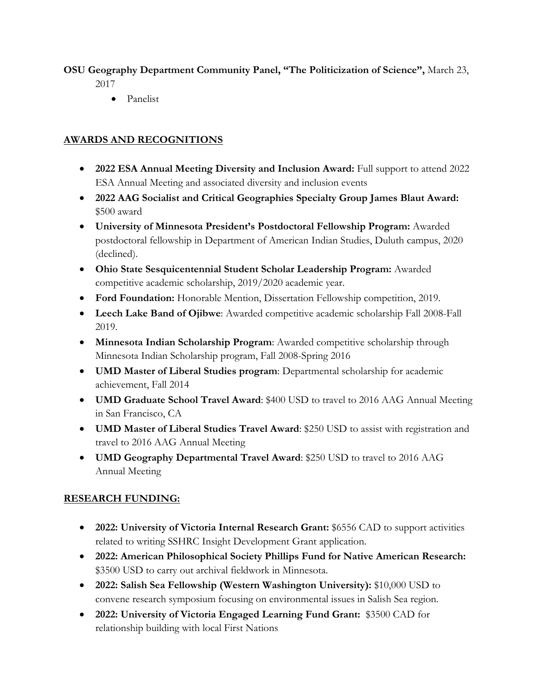# **OSU Geography Department Community Panel, "The Politicization of Science",** March 23,

2017

• Panelist

# **AWARDS AND RECOGNITIONS**

- **2022 ESA Annual Meeting Diversity and Inclusion Award:** Full support to attend 2022 ESA Annual Meeting and associated diversity and inclusion events
- **2022 AAG Socialist and Critical Geographies Specialty Group James Blaut Award:**  \$500 award
- **University of Minnesota President's Postdoctoral Fellowship Program:** Awarded postdoctoral fellowship in Department of American Indian Studies, Duluth campus, 2020 (declined).
- **Ohio State Sesquicentennial Student Scholar Leadership Program:** Awarded competitive academic scholarship, 2019/2020 academic year.
- **Ford Foundation:** Honorable Mention, Dissertation Fellowship competition, 2019.
- **Leech Lake Band of Ojibwe**: Awarded competitive academic scholarship Fall 2008-Fall 2019.
- **Minnesota Indian Scholarship Program**: Awarded competitive scholarship through Minnesota Indian Scholarship program, Fall 2008-Spring 2016
- **UMD Master of Liberal Studies program**: Departmental scholarship for academic achievement, Fall 2014
- **UMD Graduate School Travel Award**: \$400 USD to travel to 2016 AAG Annual Meeting in San Francisco, CA
- **UMD Master of Liberal Studies Travel Award**: \$250 USD to assist with registration and travel to 2016 AAG Annual Meeting
- **UMD Geography Departmental Travel Award**: \$250 USD to travel to 2016 AAG Annual Meeting

# **RESEARCH FUNDING:**

- **2022: University of Victoria Internal Research Grant:** \$6556 CAD to support activities related to writing SSHRC Insight Development Grant application.
- **2022: American Philosophical Society Phillips Fund for Native American Research:**  \$3500 USD to carry out archival fieldwork in Minnesota.
- **2022: Salish Sea Fellowship (Western Washington University):** \$10,000 USD to convene research symposium focusing on environmental issues in Salish Sea region.
- **2022: University of Victoria Engaged Learning Fund Grant:** \$3500 CAD for relationship building with local First Nations